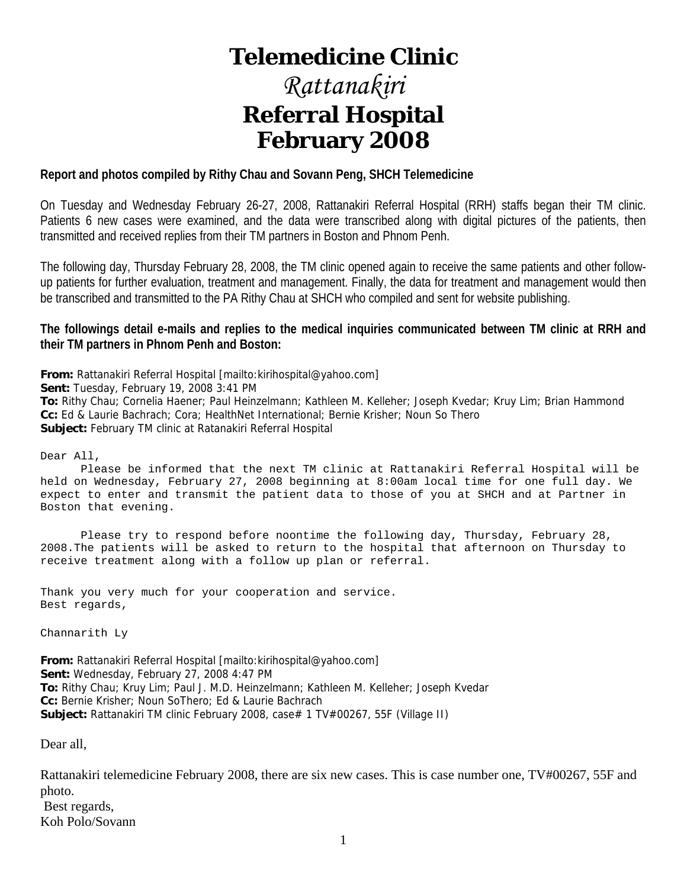# **Telemedicine Clinic**

# *Rattanakiri*  **Referral Hospital February 2008**

#### **Report and photos compiled by Rithy Chau and Sovann Peng, SHCH Telemedicine**

On Tuesday and Wednesday February 26-27, 2008, Rattanakiri Referral Hospital (RRH) staffs began their TM clinic. Patients 6 new cases were examined, and the data were transcribed along with digital pictures of the patients, then transmitted and received replies from their TM partners in Boston and Phnom Penh.

The following day, Thursday February 28, 2008, the TM clinic opened again to receive the same patients and other followup patients for further evaluation, treatment and management. Finally, the data for treatment and management would then be transcribed and transmitted to the PA Rithy Chau at SHCH who compiled and sent for website publishing.

#### **The followings detail e-mails and replies to the medical inquiries communicated between TM clinic at RRH and their TM partners in Phnom Penh and Boston:**

**From:** Rattanakiri Referral Hospital [mailto:kirihospital@yahoo.com]

**Sent:** Tuesday, February 19, 2008 3:41 PM

**To:** Rithy Chau; Cornelia Haener; Paul Heinzelmann; Kathleen M. Kelleher; Joseph Kvedar; Kruy Lim; Brian Hammond **Cc:** Ed & Laurie Bachrach; Cora; HealthNet International; Bernie Krisher; Noun So Thero **Subject:** February TM clinic at Ratanakiri Referral Hospital

Dear All,

 Please be informed that the next TM clinic at Rattanakiri Referral Hospital will be held on Wednesday, February 27, 2008 beginning at 8:00am local time for one full day. We expect to enter and transmit the patient data to those of you at SHCH and at Partner in Boston that evening.

 Please try to respond before noontime the following day, Thursday, February 28, 2008.The patients will be asked to return to the hospital that afternoon on Thursday to receive treatment along with a follow up plan or referral.

Thank you very much for your cooperation and service. Best regards,

Channarith Ly

**From:** Rattanakiri Referral Hospital [mailto:kirihospital@yahoo.com] **Sent:** Wednesday, February 27, 2008 4:47 PM **To:** Rithy Chau; Kruy Lim; Paul J. M.D. Heinzelmann; Kathleen M. Kelleher; Joseph Kvedar **Cc:** Bernie Krisher; Noun SoThero; Ed & Laurie Bachrach **Subject:** Rattanakiri TM clinic February 2008, case# 1 TV#00267, 55F (Village II)

Dear all,

Rattanakiri telemedicine February 2008, there are six new cases. This is case number one, TV#00267, 55F and photo. Best regards, Koh Polo/Sovann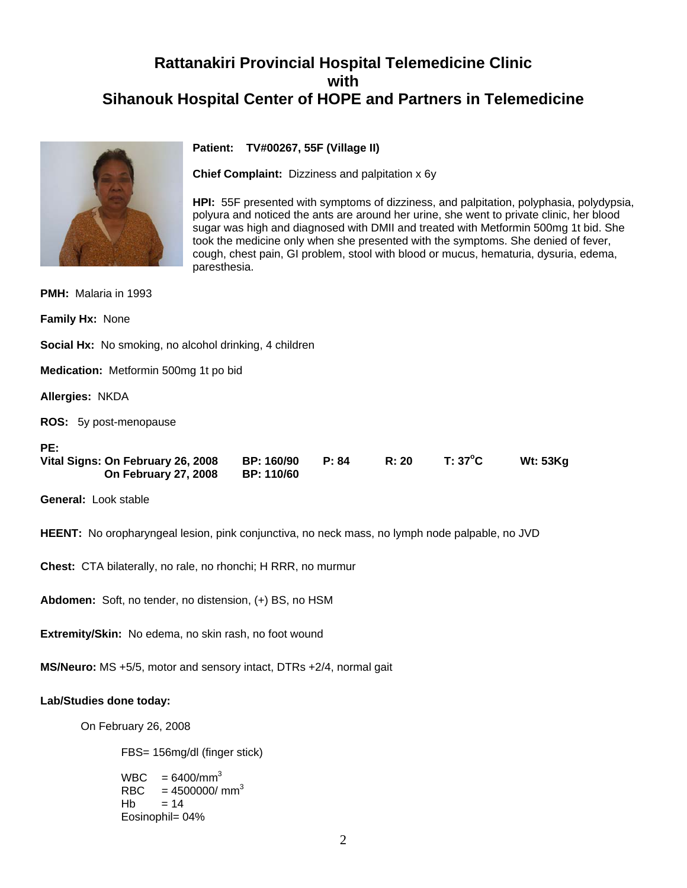# **Rattanakiri Provincial Hospital Telemedicine Clinic with Sihanouk Hospital Center of HOPE and Partners in Telemedicine**



**Patient: TV#00267, 55F (Village II)**

**Chief Complaint:** Dizziness and palpitation x 6y

**HPI:** 55F presented with symptoms of dizziness, and palpitation, polyphasia, polydypsia, polyura and noticed the ants are around her urine, she went to private clinic, her blood sugar was high and diagnosed with DMII and treated with Metformin 500mg 1t bid. She took the medicine only when she presented with the symptoms. She denied of fever, cough, chest pain, GI problem, stool with blood or mucus, hematuria, dysuria, edema, paresthesia.

| <b>PMH:</b> Malaria in 1993                                      |                                        |       |       |                  |                 |
|------------------------------------------------------------------|----------------------------------------|-------|-------|------------------|-----------------|
| <b>Family Hx: None</b>                                           |                                        |       |       |                  |                 |
| <b>Social Hx:</b> No smoking, no alcohol drinking, 4 children    |                                        |       |       |                  |                 |
| <b>Medication:</b> Metformin 500mg 1t po bid                     |                                        |       |       |                  |                 |
| <b>Allergies: NKDA</b>                                           |                                        |       |       |                  |                 |
| <b>ROS:</b> 5y post-menopause                                    |                                        |       |       |                  |                 |
| PE:<br>Vital Signs: On February 26, 2008<br>On February 27, 2008 | <b>BP: 160/90</b><br><b>BP: 110/60</b> | P: 84 | R: 20 | $T: 37^{\circ}C$ | <b>Wt: 53Kg</b> |
| <b>General: Look stable</b>                                      |                                        |       |       |                  |                 |

**HEENT:** No oropharyngeal lesion, pink conjunctiva, no neck mass, no lymph node palpable, no JVD

**Chest:** CTA bilaterally, no rale, no rhonchi; H RRR, no murmur

**Abdomen:** Soft, no tender, no distension, (+) BS, no HSM

**Extremity/Skin:** No edema, no skin rash, no foot wound

**MS/Neuro:** MS +5/5, motor and sensory intact, DTRs +2/4, normal gait

#### **Lab/Studies done today:**

On February 26, 2008

FBS= 156mg/dl (finger stick)

```
WBC = 6400/mm^3RBC = 4500000 / mm<sup>3</sup>Hb = 14 Eosinophil= 04%
```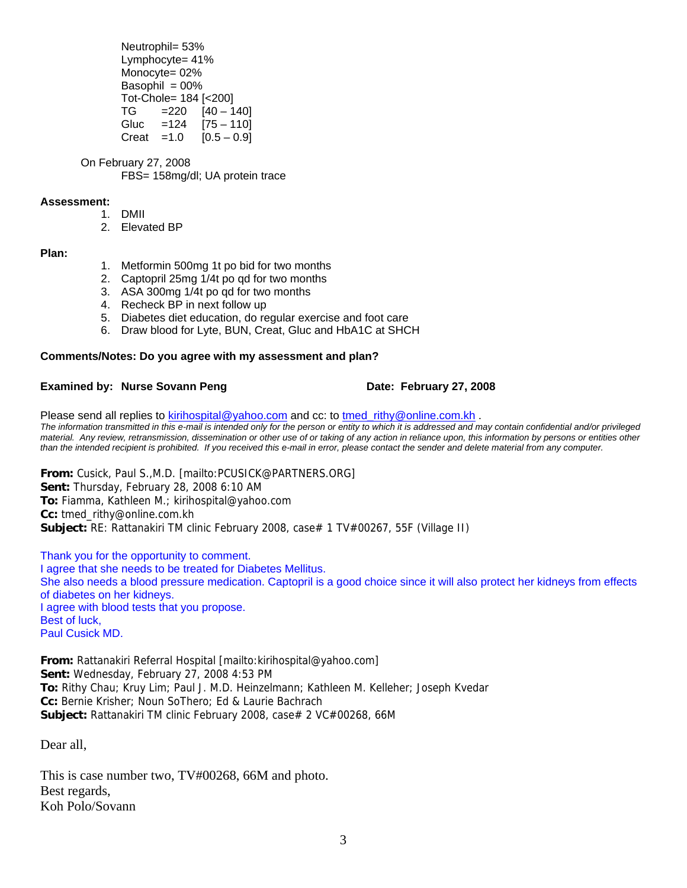Neutrophil= 53% Lymphocyte= 41% Monocyte= 02% Basophil  $= 00\%$  Tot-Chole= 184 [<200]  $TG = 220$   $[40 - 140]$  Gluc =124 [75 – 110] Creat = 1.0  $[0.5 - 0.9]$ 

 On February 27, 2008 FBS= 158mg/dl; UA protein trace

#### **Assessment:**

- 1. DMII
- 2. Elevated BP

#### **Plan:**

- 1. Metformin 500mg 1t po bid for two months
- 2. Captopril 25mg 1/4t po qd for two months
- 3. ASA 300mg 1/4t po qd for two months
- 4. Recheck BP in next follow up
- 5. Diabetes diet education, do regular exercise and foot care
- 6. Draw blood for Lyte, BUN, Creat, Gluc and HbA1C at SHCH

#### **Comments/Notes: Do you agree with my assessment and plan?**

#### **Examined by: Nurse Sovann Peng Date: February 27, 2008**

Please send all replies to [kirihospital@yahoo.com](mailto:kirihospital@yahoo.com) and cc: to [tmed\\_rithy@online.com.kh](mailto:tmed_rithy@bigpond.com.kh) . *The information transmitted in this e-mail is intended only for the person or entity to which it is addressed and may contain confidential and/or privileged material. Any review, retransmission, dissemination or other use of or taking of any action in reliance upon, this information by persons or entities other than the intended recipient is prohibited. If you received this e-mail in error, please contact the sender and delete material from any computer.*

**From:** Cusick, Paul S.,M.D. [mailto:PCUSICK@PARTNERS.ORG] **Sent:** Thursday, February 28, 2008 6:10 AM **To:** Fiamma, Kathleen M.; kirihospital@yahoo.com **Cc:** tmed\_rithy@online.com.kh **Subject:** RE: Rattanakiri TM clinic February 2008, case# 1 TV#00267, 55F (Village II)

Thank you for the opportunity to comment. I agree that she needs to be treated for Diabetes Mellitus. She also needs a blood pressure medication. Captopril is a good choice since it will also protect her kidneys from effects of diabetes on her kidneys. I agree with blood tests that you propose. Best of luck, Paul Cusick MD.

**From:** Rattanakiri Referral Hospital [mailto:kirihospital@yahoo.com] **Sent:** Wednesday, February 27, 2008 4:53 PM **To:** Rithy Chau; Kruy Lim; Paul J. M.D. Heinzelmann; Kathleen M. Kelleher; Joseph Kvedar **Cc:** Bernie Krisher; Noun SoThero; Ed & Laurie Bachrach **Subject:** Rattanakiri TM clinic February 2008, case# 2 VC#00268, 66M

Dear all,

This is case number two, TV#00268, 66M and photo. Best regards, Koh Polo/Sovann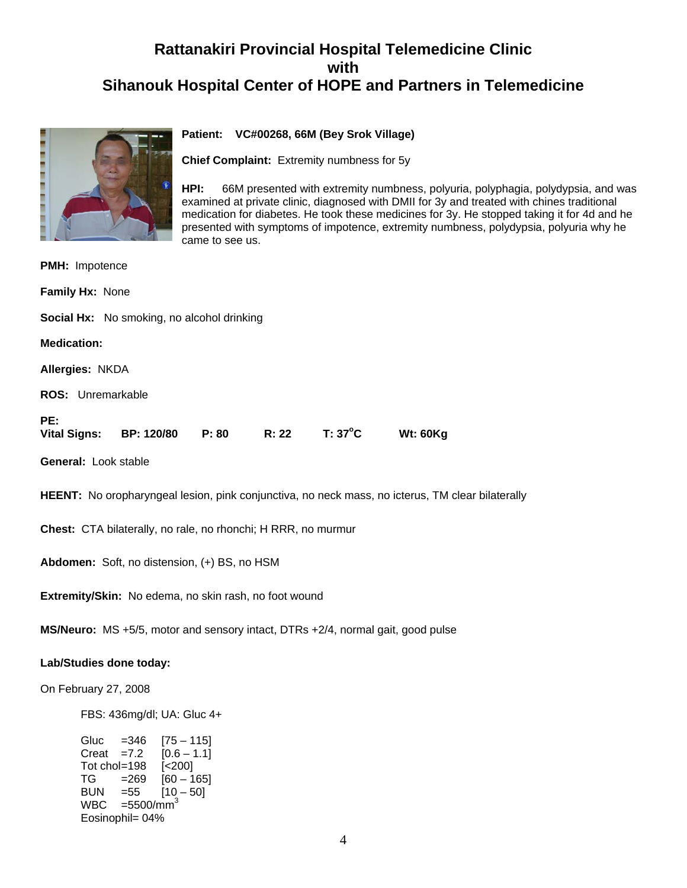# **Rattanakiri Provincial Hospital Telemedicine Clinic with Sihanouk Hospital Center of HOPE and Partners in Telemedicine**



#### **Patient: VC#00268, 66M (Bey Srok Village)**

**Chief Complaint:** Extremity numbness for 5y

**HPI:** 66M presented with extremity numbness, polyuria, polyphagia, polydypsia, and was examined at private clinic, diagnosed with DMII for 3y and treated with chines traditional medication for diabetes. He took these medicines for 3y. He stopped taking it for 4d and he presented with symptoms of impotence, extremity numbness, polydypsia, polyuria why he came to see us.

| <b>PMH: Impotence</b>                                                                                   |  |  |  |  |
|---------------------------------------------------------------------------------------------------------|--|--|--|--|
| Family Hx: None                                                                                         |  |  |  |  |
| <b>Social Hx:</b> No smoking, no alcohol drinking                                                       |  |  |  |  |
| <b>Medication:</b>                                                                                      |  |  |  |  |
| Allergies: NKDA                                                                                         |  |  |  |  |
| <b>ROS:</b> Unremarkable                                                                                |  |  |  |  |
| PE:<br>T: 37°C<br>R: 22<br>Vital Signs: BP: 120/80 P: 80<br><b>Wt: 60Kg</b>                             |  |  |  |  |
| General: Look stable                                                                                    |  |  |  |  |
| <b>HEENT:</b> No oropharyngeal lesion, pink conjunctiva, no neck mass, no icterus, TM clear bilaterally |  |  |  |  |
| Chest: CTA bilaterally, no rale, no rhonchi; H RRR, no murmur                                           |  |  |  |  |
| Abdomen: Soft, no distension, (+) BS, no HSM                                                            |  |  |  |  |
| Extremity/Skin: No edema, no skin rash, no foot wound                                                   |  |  |  |  |

**MS/Neuro:** MS +5/5, motor and sensory intact, DTRs +2/4, normal gait, good pulse

#### **Lab/Studies done today:**

On February 27, 2008

FBS: 436mg/dl; UA: Gluc 4+

Gluc = 346 [75 – 115]<br>Creat = 7.2 [0.6 – 1.1] Creat  $=7.2$ Tot chol=198  $\left[$  <200] TG =269 [60 – 165]<br>BUN =55 [10 – 50] BUN =55  $[10 - 50]$ <br>WBC =5500/mm<sup>3</sup>  $=5500/mm<sup>3</sup>$ Eosinophil= 04%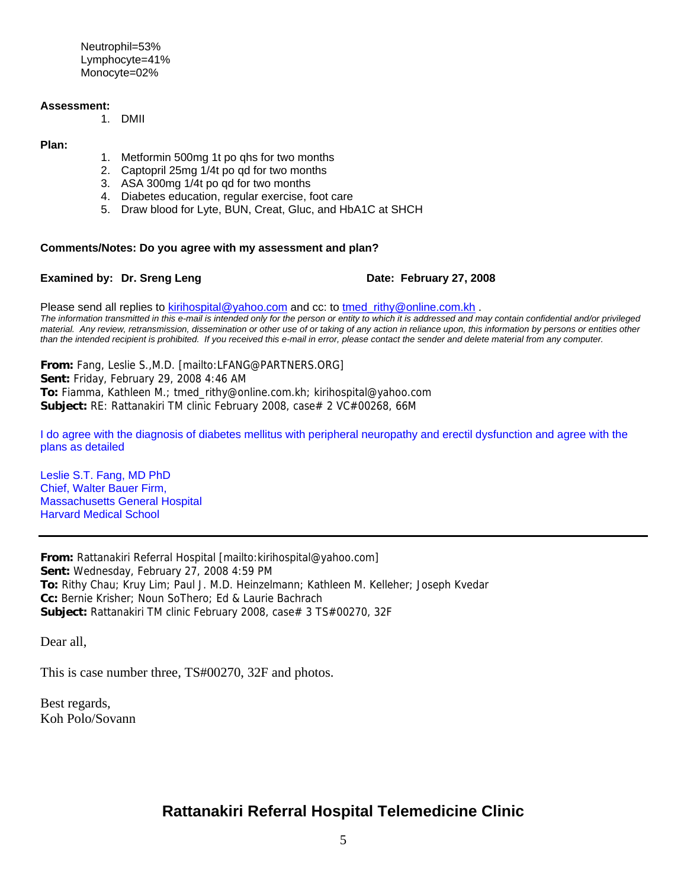Neutrophil=53% Lymphocyte=41% Monocyte=02%

#### **Assessment:**

1. DMII

#### **Plan:**

- 1. Metformin 500mg 1t po qhs for two months
- 2. Captopril 25mg 1/4t po qd for two months
- 3. ASA 300mg 1/4t po qd for two months
- 4. Diabetes education, regular exercise, foot care
- 5. Draw blood for Lyte, BUN, Creat, Gluc, and HbA1C at SHCH

#### **Comments/Notes: Do you agree with my assessment and plan?**

#### **Examined by: Dr. Sreng Leng Date: February 27, 2008**

Please send all replies to [kirihospital@yahoo.com](mailto:kirihospital@yahoo.com) and cc: to tmed rithy@online.com.kh . *The information transmitted in this e-mail is intended only for the person or entity to which it is addressed and may contain confidential and/or privileged material. Any review, retransmission, dissemination or other use of or taking of any action in reliance upon, this information by persons or entities other than the intended recipient is prohibited. If you received this e-mail in error, please contact the sender and delete material from any computer.*

**From:** Fang, Leslie S.,M.D. [mailto:LFANG@PARTNERS.ORG] **Sent:** Friday, February 29, 2008 4:46 AM **To:** Fiamma, Kathleen M.; tmed\_rithy@online.com.kh; kirihospital@yahoo.com **Subject:** RE: Rattanakiri TM clinic February 2008, case# 2 VC#00268, 66M

I do agree with the diagnosis of diabetes mellitus with peripheral neuropathy and erectil dysfunction and agree with the plans as detailed

Leslie S.T. Fang, MD PhD Chief, Walter Bauer Firm, Massachusetts General Hospital Harvard Medical School

**From:** Rattanakiri Referral Hospital [mailto:kirihospital@yahoo.com] **Sent:** Wednesday, February 27, 2008 4:59 PM **To:** Rithy Chau; Kruy Lim; Paul J. M.D. Heinzelmann; Kathleen M. Kelleher; Joseph Kvedar **Cc:** Bernie Krisher; Noun SoThero; Ed & Laurie Bachrach **Subject:** Rattanakiri TM clinic February 2008, case# 3 TS#00270, 32F

Dear all,

This is case number three, TS#00270, 32F and photos.

Best regards, Koh Polo/Sovann

### **Rattanakiri Referral Hospital Telemedicine Clinic**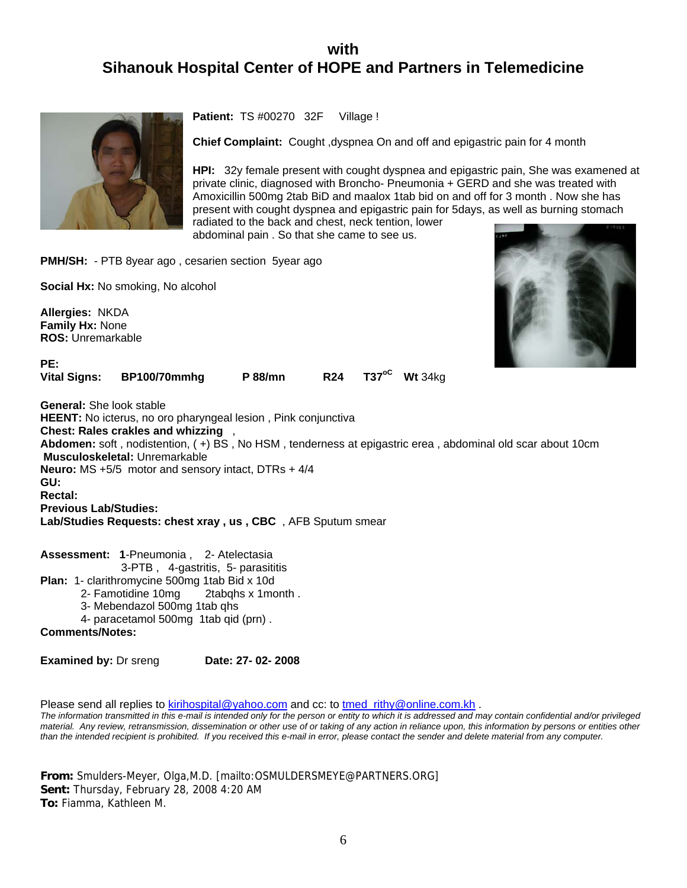## **with Sihanouk Hospital Center of HOPE and Partners in Telemedicine**



**Patient:** TS #00270 32F Village !

**Chief Complaint:** Cought ,dyspnea On and off and epigastric pain for 4 month

**HPI:** 32y female present with cought dyspnea and epigastric pain, She was examened at private clinic, diagnosed with Broncho- Pneumonia + GERD and she was treated with Amoxicillin 500mg 2tab BiD and maalox 1tab bid on and off for 3 month . Now she has present with cought dyspnea and epigastric pain for 5days, as well as burning stomach radiated to the back and chest, neck tention, lower abdominal pain . So that she came to see us.

**PMH/SH:** - PTB 8year ago, cesarien section 5year ago

**Vital Signs: BP100/70mmhg P 88/mn R24 T37<sup>oC</sup> Wt 34kg** 

**Social Hx:** No smoking, No alcohol

**Allergies:** NKDA **Family Hx:** None **ROS:** Unremarkable

**PE:** 



**General:** She look stable **HEENT:** No icterus, no oro pharyngeal lesion , Pink conjunctiva **Chest: Rales crakles and whizzing** , **Abdomen:** soft , nodistention, ( +) BS , No HSM , tenderness at epigastric erea , abdominal old scar about 10cm **Musculoskeletal:** Unremarkable **Neuro:** MS +5/5 motor and sensory intact, DTRs + 4/4 **GU: Rectal: Previous Lab/Studies: Lab/Studies Requests: chest xray , us , CBC** , AFB Sputum smear

**Assessment: 1**-Pneumonia , 2- Atelectasia 3-PTB , 4-gastritis, 5- parasititis **Plan:** 1- clarithromycine 500mg 1tab Bid x 10d 2- Famotidine 10mg 2tabqhs x 1month . 3- Mebendazol 500mg 1tab qhs 4- paracetamol 500mg 1tab qid (prn). **Comments/Notes:**

**Examined by: Dr sreng Date: 27- 02- 2008** 

Please send all replies to [kirihospital@yahoo.com](mailto:kirihospital@yahoo.com) and cc: to tmed rithy@online.com.kh .

*The information transmitted in this e-mail is intended only for the person or entity to which it is addressed and may contain confidential and/or privileged material. Any review, retransmission, dissemination or other use of or taking of any action in reliance upon, this information by persons or entities other than the intended recipient is prohibited. If you received this e-mail in error, please contact the sender and delete material from any computer.*

**From:** Smulders-Meyer, Olga,M.D. [mailto:OSMULDERSMEYE@PARTNERS.ORG] **Sent:** Thursday, February 28, 2008 4:20 AM **To:** Fiamma, Kathleen M.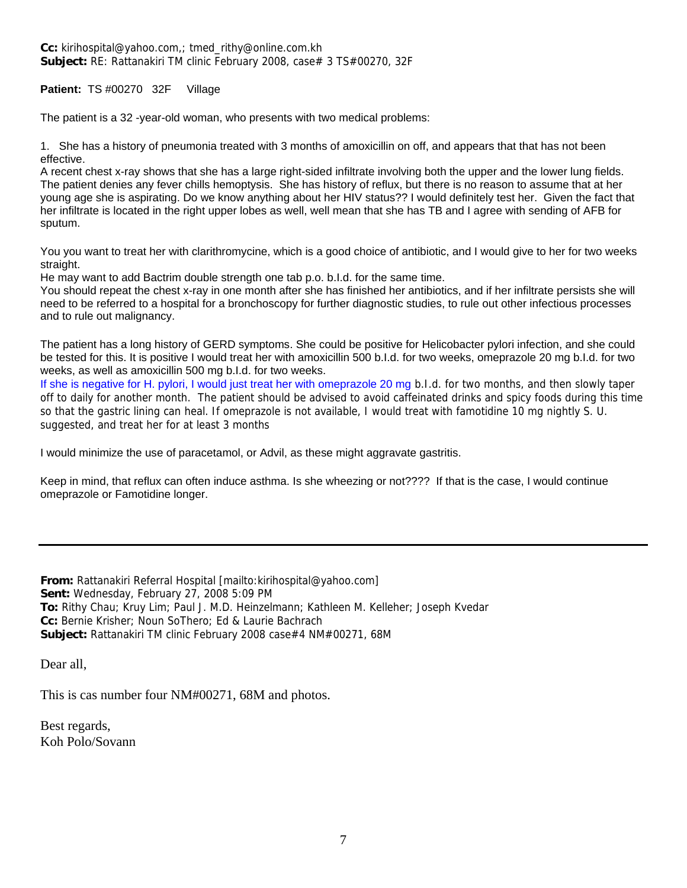**Cc:** kirihospital@yahoo.com,; tmed\_rithy@online.com.kh **Subject:** RE: Rattanakiri TM clinic February 2008, case# 3 TS#00270, 32F

**Patient:** TS #00270 32F Village

The patient is a 32 -year-old woman, who presents with two medical problems:

1. She has a history of pneumonia treated with 3 months of amoxicillin on off, and appears that that has not been effective.

A recent chest x-ray shows that she has a large right-sided infiltrate involving both the upper and the lower lung fields. The patient denies any fever chills hemoptysis. She has history of reflux, but there is no reason to assume that at her young age she is aspirating. Do we know anything about her HIV status?? I would definitely test her. Given the fact that her infiltrate is located in the right upper lobes as well, well mean that she has TB and I agree with sending of AFB for sputum.

You you want to treat her with clarithromycine, which is a good choice of antibiotic, and I would give to her for two weeks straight.

He may want to add Bactrim double strength one tab p.o. b.I.d. for the same time.

You should repeat the chest x-ray in one month after she has finished her antibiotics, and if her infiltrate persists she will need to be referred to a hospital for a bronchoscopy for further diagnostic studies, to rule out other infectious processes and to rule out malignancy.

The patient has a long history of GERD symptoms. She could be positive for Helicobacter pylori infection, and she could be tested for this. It is positive I would treat her with amoxicillin 500 b.I.d. for two weeks, omeprazole 20 mg b.I.d. for two weeks, as well as amoxicillin 500 mg b.I.d. for two weeks.

If she is negative for H. pylori, I would just treat her with omeprazole 20 mg b.I.d. for two months, and then slowly taper off to daily for another month. The patient should be advised to avoid caffeinated drinks and spicy foods during this time so that the gastric lining can heal. If omeprazole is not available, I would treat with famotidine 10 mg nightly S. U. suggested, and treat her for at least 3 months

I would minimize the use of paracetamol, or Advil, as these might aggravate gastritis.

Keep in mind, that reflux can often induce asthma. Is she wheezing or not???? If that is the case, I would continue omeprazole or Famotidine longer.

**From:** Rattanakiri Referral Hospital [mailto:kirihospital@yahoo.com] **Sent:** Wednesday, February 27, 2008 5:09 PM **To:** Rithy Chau; Kruy Lim; Paul J. M.D. Heinzelmann; Kathleen M. Kelleher; Joseph Kvedar **Cc:** Bernie Krisher; Noun SoThero; Ed & Laurie Bachrach **Subject:** Rattanakiri TM clinic February 2008 case#4 NM#00271, 68M

Dear all,

This is cas number four NM#00271, 68M and photos.

Best regards, Koh Polo/Sovann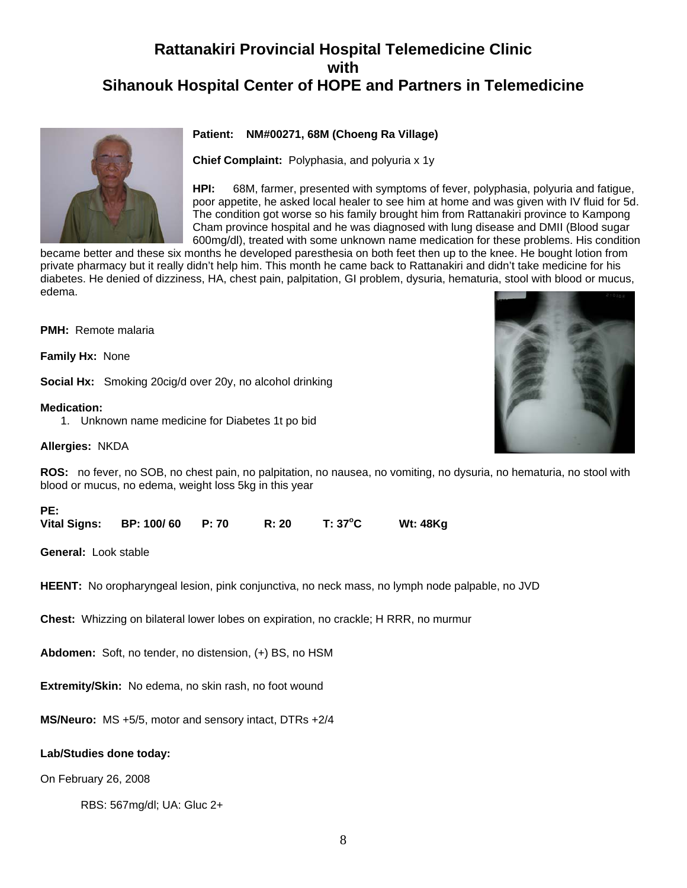# **Rattanakiri Provincial Hospital Telemedicine Clinic with Sihanouk Hospital Center of HOPE and Partners in Telemedicine**

#### **Patient: NM#00271, 68M (Choeng Ra Village)**

**Chief Complaint:** Polyphasia, and polyuria x 1y

**HPI:** 68M, farmer, presented with symptoms of fever, polyphasia, polyuria and fatigue, poor appetite, he asked local healer to see him at home and was given with IV fluid for 5d. The condition got worse so his family brought him from Rattanakiri province to Kampong Cham province hospital and he was diagnosed with lung disease and DMII (Blood sugar 600mg/dl), treated with some unknown name medication for these problems. His condition

became better and these six months he developed paresthesia on both feet then up to the knee. He bought lotion from private pharmacy but it really didn't help him. This month he came back to Rattanakiri and didn't take medicine for his diabetes. He denied of dizziness, HA, chest pain, palpitation, GI problem, dysuria, hematuria, stool with blood or mucus, edema.

**PMH:** Remote malaria

**Family Hx:** None

**Social Hx:** Smoking 20cig/d over 20y, no alcohol drinking

**Medication:**

1. Unknown name medicine for Diabetes 1t po bid

**Allergies:** NKDA



| PE: |                               |       |         |          |
|-----|-------------------------------|-------|---------|----------|
|     | Vital Signs: BP: 100/60 P: 70 | R: 20 | T: 37°C | Wt: 48Kg |

**General:** Look stable

**HEENT:** No oropharyngeal lesion, pink conjunctiva, no neck mass, no lymph node palpable, no JVD

**Chest:** Whizzing on bilateral lower lobes on expiration, no crackle; H RRR, no murmur

**Abdomen:** Soft, no tender, no distension, (+) BS, no HSM

**Extremity/Skin:** No edema, no skin rash, no foot wound

**MS/Neuro:** MS +5/5, motor and sensory intact, DTRs +2/4

#### **Lab/Studies done today:**

On February 26, 2008

RBS: 567mg/dl; UA: Gluc 2+

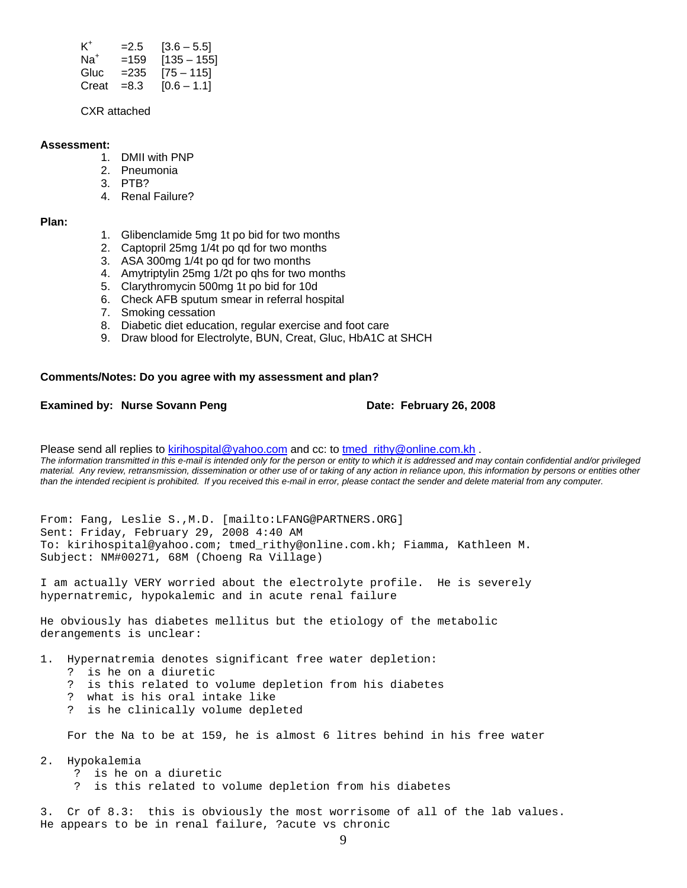| $K^+$ | $=2.5$  | $[3.6 - 5.5]$ |
|-------|---------|---------------|
| $Na+$ | $=159$  | $[135 - 155]$ |
| Gluc  | $= 235$ | $[75 - 115]$  |
| Creat | $=8.3$  | $[0.6 - 1.1]$ |

CXR attached

#### **Assessment:**

- 1. DMII with PNP
- 2. Pneumonia
- 3. PTB?
- 4. Renal Failure?

#### **Plan:**

- 1. Glibenclamide 5mg 1t po bid for two months
- 2. Captopril 25mg 1/4t po qd for two months
- 3. ASA 300mg 1/4t po qd for two months
- 4. Amytriptylin 25mg 1/2t po qhs for two months
- 5. Clarythromycin 500mg 1t po bid for 10d
- 6. Check AFB sputum smear in referral hospital
- 7. Smoking cessation
- 8. Diabetic diet education, regular exercise and foot care
- 9. Draw blood for Electrolyte, BUN, Creat, Gluc, HbA1C at SHCH

#### **Comments/Notes: Do you agree with my assessment and plan?**

#### **Examined by: Nurse Sovann Peng Date: February 26, 2008**

Please send all replies to [kirihospital@yahoo.com](mailto:kirihospital@yahoo.com) and cc: to [tmed\\_rithy@online.com.kh](mailto:tmed_rithy@bigpond.com.kh) . *The information transmitted in this e-mail is intended only for the person or entity to which it is addressed and may contain confidential and/or privileged material. Any review, retransmission, dissemination or other use of or taking of any action in reliance upon, this information by persons or entities other than the intended recipient is prohibited. If you received this e-mail in error, please contact the sender and delete material from any computer.*

From: Fang, Leslie S.,M.D. [mailto:LFANG@PARTNERS.ORG] Sent: Friday, February 29, 2008 4:40 AM To: kirihospital@yahoo.com; tmed\_rithy@online.com.kh; Fiamma, Kathleen M. Subject: NM#00271, 68M (Choeng Ra Village)

I am actually VERY worried about the electrolyte profile. He is severely hypernatremic, hypokalemic and in acute renal failure

He obviously has diabetes mellitus but the etiology of the metabolic derangements is unclear:

1. Hypernatremia denotes significant free water depletion:

- ? is he on a diuretic
- ? is this related to volume depletion from his diabetes
- ? what is his oral intake like
- ? is he clinically volume depleted

For the Na to be at 159, he is almost 6 litres behind in his free water

- 2. Hypokalemia
	- ? is he on a diuretic
	- ? is this related to volume depletion from his diabetes

3. Cr of 8.3: this is obviously the most worrisome of all of the lab values. He appears to be in renal failure, ?acute vs chronic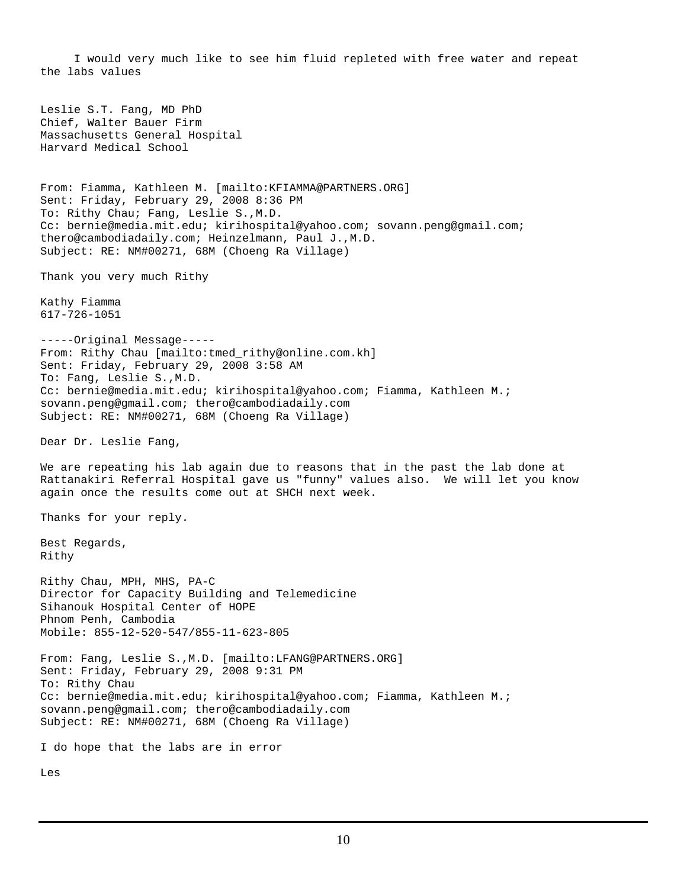I would very much like to see him fluid repleted with free water and repeat the labs values Leslie S.T. Fang, MD PhD Chief, Walter Bauer Firm Massachusetts General Hospital Harvard Medical School From: Fiamma, Kathleen M. [mailto:KFIAMMA@PARTNERS.ORG] Sent: Friday, February 29, 2008 8:36 PM To: Rithy Chau; Fang, Leslie S.,M.D. Cc: bernie@media.mit.edu; kirihospital@yahoo.com; sovann.peng@gmail.com; thero@cambodiadaily.com; Heinzelmann, Paul J.,M.D. Subject: RE: NM#00271, 68M (Choeng Ra Village) Thank you very much Rithy Kathy Fiamma 617-726-1051 -----Original Message----- From: Rithy Chau [mailto:tmed\_rithy@online.com.kh] Sent: Friday, February 29, 2008 3:58 AM To: Fang, Leslie S.,M.D. Cc: bernie@media.mit.edu; kirihospital@yahoo.com; Fiamma, Kathleen M.; sovann.peng@gmail.com; thero@cambodiadaily.com Subject: RE: NM#00271, 68M (Choeng Ra Village) Dear Dr. Leslie Fang, We are repeating his lab again due to reasons that in the past the lab done at Rattanakiri Referral Hospital gave us "funny" values also. We will let you know again once the results come out at SHCH next week. Thanks for your reply. Best Regards, Rithy Rithy Chau, MPH, MHS, PA-C Director for Capacity Building and Telemedicine Sihanouk Hospital Center of HOPE Phnom Penh, Cambodia Mobile: 855-12-520-547/855-11-623-805 From: Fang, Leslie S.,M.D. [mailto:LFANG@PARTNERS.ORG] Sent: Friday, February 29, 2008 9:31 PM To: Rithy Chau Cc: bernie@media.mit.edu; kirihospital@yahoo.com; Fiamma, Kathleen M.; sovann.peng@gmail.com; thero@cambodiadaily.com Subject: RE: NM#00271, 68M (Choeng Ra Village) I do hope that the labs are in error Les

10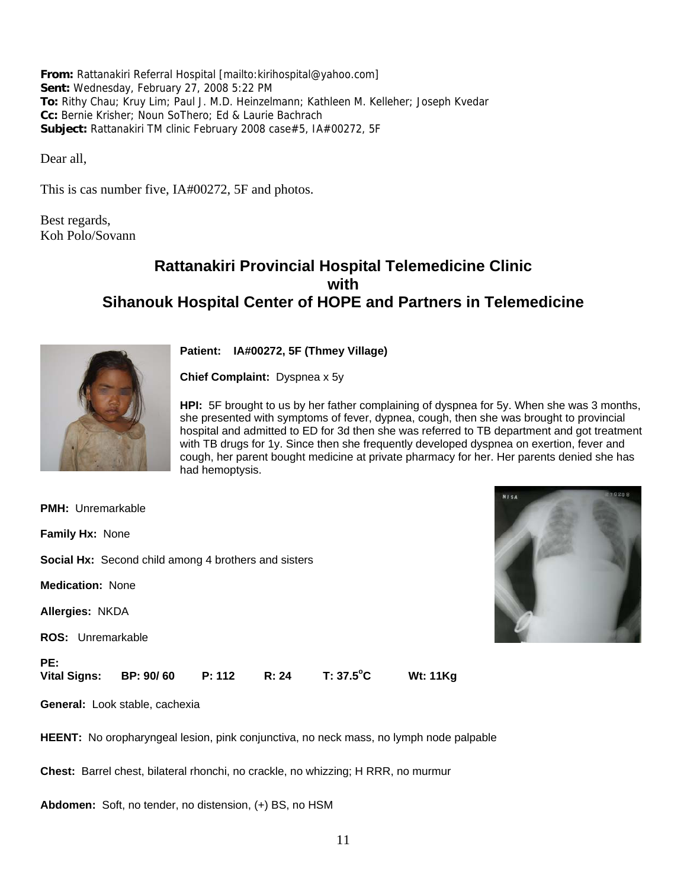**From:** Rattanakiri Referral Hospital [mailto:kirihospital@yahoo.com] **Sent:** Wednesday, February 27, 2008 5:22 PM **To:** Rithy Chau; Kruy Lim; Paul J. M.D. Heinzelmann; Kathleen M. Kelleher; Joseph Kvedar **Cc:** Bernie Krisher; Noun SoThero; Ed & Laurie Bachrach **Subject:** Rattanakiri TM clinic February 2008 case#5, IA#00272, 5F

Dear all,

This is cas number five, IA#00272, 5F and photos.

Best regards, Koh Polo/Sovann

### **Rattanakiri Provincial Hospital Telemedicine Clinic with Sihanouk Hospital Center of HOPE and Partners in Telemedicine**



**Patient: IA#00272, 5F (Thmey Village)**

**Chief Complaint:** Dyspnea x 5y

**HPI:** 5F brought to us by her father complaining of dyspnea for 5y. When she was 3 months, she presented with symptoms of fever, dypnea, cough, then she was brought to provincial hospital and admitted to ED for 3d then she was referred to TB department and got treatment with TB drugs for 1y. Since then she frequently developed dyspnea on exertion, fever and cough, her parent bought medicine at private pharmacy for her. Her parents denied she has had hemoptysis.

**PMH:** Unremarkable **Family Hx:** None **Social Hx:** Second child among 4 brothers and sisters **Medication:** None **Allergies:** NKDA **ROS:** Unremarkable **PE:**  Vital Signs: **BP: 90/ 60** P: 112 R: 24 T: 37.5<sup>°</sup>C **C Wt: 11Kg General:** Look stable, cachexia

**HEENT:** No oropharyngeal lesion, pink conjunctiva, no neck mass, no lymph node palpable

**Chest:** Barrel chest, bilateral rhonchi, no crackle, no whizzing; H RRR, no murmur

**Abdomen:** Soft, no tender, no distension, (+) BS, no HSM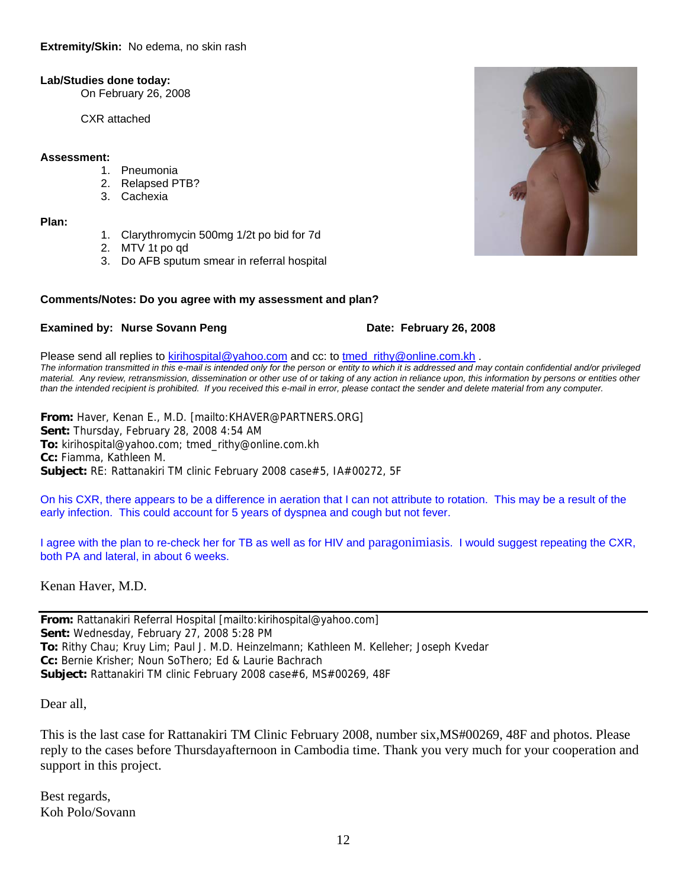#### **Lab/Studies done today:**

On February 26, 2008

CXR attached

#### **Assessment:**

- 1. Pneumonia
- 2. Relapsed PTB?
- 3. Cachexia

**Plan:**

- 1. Clarythromycin 500mg 1/2t po bid for 7d
- 2. MTV 1t po qd
- 3. Do AFB sputum smear in referral hospital

#### **Comments/Notes: Do you agree with my assessment and plan?**

#### **Examined by: Nurse Sovann Peng Date: February 26, 2008**

Please send all replies to [kirihospital@yahoo.com](mailto:kirihospital@yahoo.com) and cc: to [tmed\\_rithy@online.com.kh](mailto:tmed_rithy@bigpond.com.kh) . *The information transmitted in this e-mail is intended only for the person or entity to which it is addressed and may contain confidential and/or privileged material. Any review, retransmission, dissemination or other use of or taking of any action in reliance upon, this information by persons or entities other than the intended recipient is prohibited. If you received this e-mail in error, please contact the sender and delete material from any computer.*

**From:** Haver, Kenan E., M.D. [mailto:KHAVER@PARTNERS.ORG] **Sent:** Thursday, February 28, 2008 4:54 AM **To:** kirihospital@yahoo.com; tmed\_rithy@online.com.kh **Cc:** Fiamma, Kathleen M. **Subject:** RE: Rattanakiri TM clinic February 2008 case#5, IA#00272, 5F

On his CXR, there appears to be a difference in aeration that I can not attribute to rotation. This may be a result of the early infection. This could account for 5 years of dyspnea and cough but not fever.

I agree with the plan to re-check her for TB as well as for HIV and paragonimiasis. I would suggest repeating the CXR, both PA and lateral, in about 6 weeks.

Kenan Haver, M.D.

**From:** Rattanakiri Referral Hospital [mailto:kirihospital@yahoo.com] **Sent:** Wednesday, February 27, 2008 5:28 PM **To:** Rithy Chau; Kruy Lim; Paul J. M.D. Heinzelmann; Kathleen M. Kelleher; Joseph Kvedar **Cc:** Bernie Krisher; Noun SoThero; Ed & Laurie Bachrach **Subject:** Rattanakiri TM clinic February 2008 case#6, MS#00269, 48F

Dear all,

This is the last case for Rattanakiri TM Clinic February 2008, number six,MS#00269, 48F and photos. Please reply to the cases before Thursdayafternoon in Cambodia time. Thank you very much for your cooperation and support in this project.

Best regards, Koh Polo/Sovann

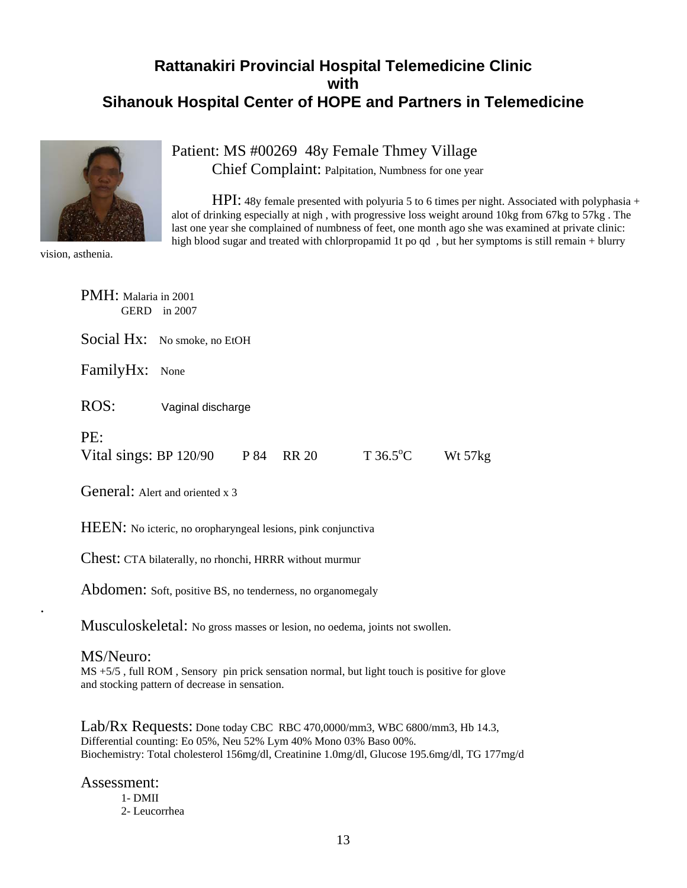## **Rattanakiri Provincial Hospital Telemedicine Clinic with Sihanouk Hospital Center of HOPE and Partners in Telemedicine**



Patient: MS #00269 48y Female Thmey Village Chief Complaint: Palpitation, Numbness for one year

HPI: 48y female presented with polyuria 5 to 6 times per night. Associated with polyphasia + alot of drinking especially at nigh , with progressive loss weight around 10kg from 67kg to 57kg . The last one year she complained of numbness of feet, one month ago she was examined at private clinic: high blood sugar and treated with chlorpropamid 1t po qd, but her symptoms is still remain + blurry

vision, asthenia.

| PMH: Malaria in 2001          | GERD in 2007                 |      |              |                           |           |
|-------------------------------|------------------------------|------|--------------|---------------------------|-----------|
|                               | Social Hx: No smoke, no EtOH |      |              |                           |           |
| FamilyHx: None                |                              |      |              |                           |           |
| ROS:                          | Vaginal discharge            |      |              |                           |           |
| PE:<br>Vital sings: BP 120/90 |                              | P 84 | <b>RR 20</b> | $T\,36.5^{\circ}\text{C}$ | Wt $57kg$ |

General: Alert and oriented x 3

HEEN: No icteric, no oropharyngeal lesions, pink conjunctiva

Chest: CTA bilaterally, no rhonchi, HRRR without murmur

Abdomen: Soft, positive BS, no tenderness, no organomegaly

Musculoskeletal: No gross masses or lesion, no oedema, joints not swollen.

#### MS/Neuro:

.

MS +5/5 , full ROM , Sensory pin prick sensation normal, but light touch is positive for glove and stocking pattern of decrease in sensation.

Lab/Rx Requests: Done today CBC RBC 470,0000/mm3, WBC 6800/mm3, Hb 14.3, Differential counting: Eo 05%, Neu 52% Lym 40% Mono 03% Baso 00%. Biochemistry: Total cholesterol 156mg/dl, Creatinine 1.0mg/dl, Glucose 195.6mg/dl, TG 177mg/d

#### Assessment:

- 1- DMII
- 2- Leucorrhea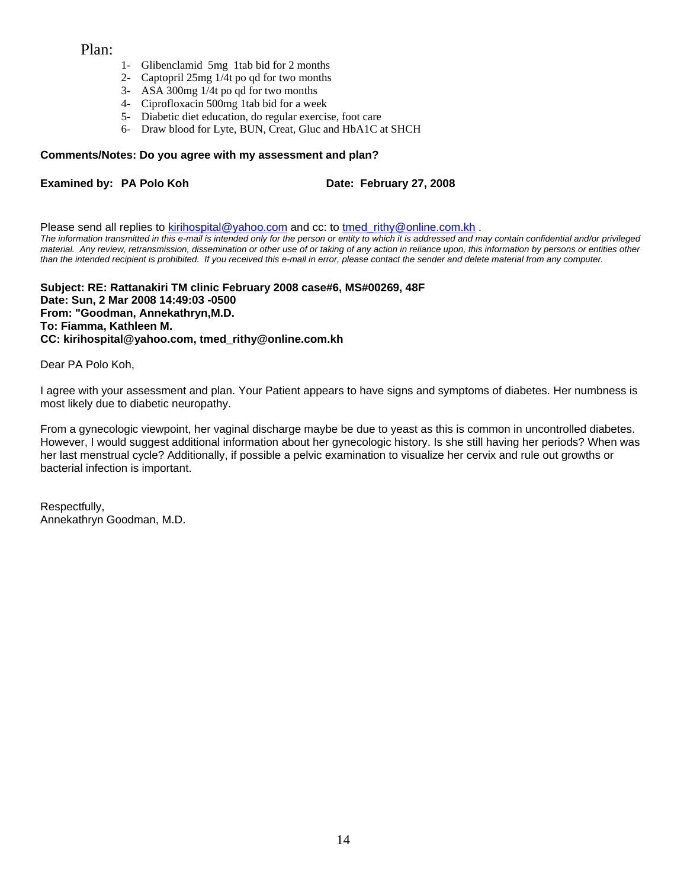#### Plan:

- 1- Glibenclamid 5mg 1tab bid for 2 months
- 2- Captopril 25mg 1/4t po qd for two months
- 3- ASA 300mg 1/4t po qd for two months
- 4- Ciprofloxacin 500mg 1tab bid for a week
- 5- Diabetic diet education, do regular exercise, foot care
- 6- Draw blood for Lyte, BUN, Creat, Gluc and HbA1C at SHCH

#### **Comments/Notes: Do you agree with my assessment and plan?**

#### **Examined by: PA Polo Koh Date: February 27, 2008**

Please send all replies to [kirihospital@yahoo.com](mailto:kirihospital@yahoo.com) and cc: to tmed rithy@online.com.kh . *The information transmitted in this e-mail is intended only for the person or entity to which it is addressed and may contain confidential and/or privileged material. Any review, retransmission, dissemination or other use of or taking of any action in reliance upon, this information by persons or entities other than the intended recipient is prohibited. If you received this e-mail in error, please contact the sender and delete material from any computer.*

**Subject: RE: Rattanakiri TM clinic February 2008 case#6, MS#00269, 48F Date: Sun, 2 Mar 2008 14:49:03 -0500 From: "Goodman, Annekathryn,M.D. To: Fiamma, Kathleen M. CC: kirihospital@yahoo.com, tmed\_rithy@online.com.kh** 

Dear PA Polo Koh,

I agree with your assessment and plan. Your Patient appears to have signs and symptoms of diabetes. Her numbness is most likely due to diabetic neuropathy.

From a gynecologic viewpoint, her vaginal discharge maybe be due to yeast as this is common in uncontrolled diabetes. However, I would suggest additional information about her gynecologic history. Is she still having her periods? When was her last menstrual cycle? Additionally, if possible a pelvic examination to visualize her cervix and rule out growths or bacterial infection is important.

Respectfully, Annekathryn Goodman, M.D.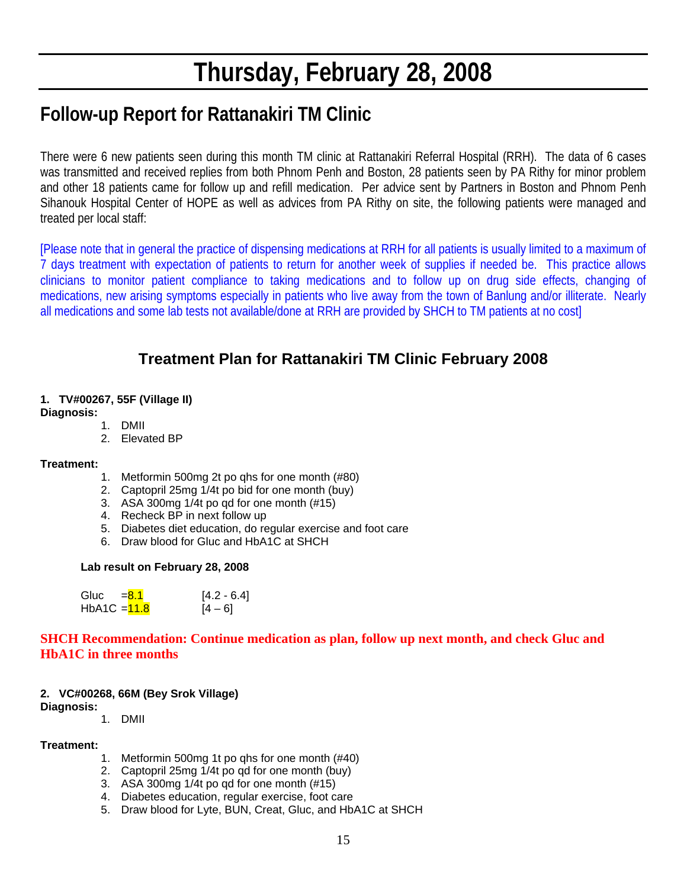# **Thursday, February 28, 2008**

# **Follow-up Report for Rattanakiri TM Clinic**

There were 6 new patients seen during this month TM clinic at Rattanakiri Referral Hospital (RRH). The data of 6 cases was transmitted and received replies from both Phnom Penh and Boston, 28 patients seen by PA Rithy for minor problem and other 18 patients came for follow up and refill medication. Per advice sent by Partners in Boston and Phnom Penh Sihanouk Hospital Center of HOPE as well as advices from PA Rithy on site, the following patients were managed and treated per local staff:

[Please note that in general the practice of dispensing medications at RRH for all patients is usually limited to a maximum of 7 days treatment with expectation of patients to return for another week of supplies if needed be. This practice allows clinicians to monitor patient compliance to taking medications and to follow up on drug side effects, changing of medications, new arising symptoms especially in patients who live away from the town of Banlung and/or illiterate. Nearly all medications and some lab tests not available/done at RRH are provided by SHCH to TM patients at no cost]

# **Treatment Plan for Rattanakiri TM Clinic February 2008**

#### **1. TV#00267, 55F (Village II) Diagnosis:**

#### 1. DMII

2. Elevated BP

#### **Treatment:**

- 1. Metformin 500mg 2t po qhs for one month (#80)
- 2. Captopril 25mg 1/4t po bid for one month (buy)
- 3. ASA 300mg 1/4t po qd for one month (#15)
- 4. Recheck BP in next follow up
- 5. Diabetes diet education, do regular exercise and foot care
- 6. Draw blood for Gluc and HbA1C at SHCH

#### **Lab result on February 28, 2008**

| Gluc           | $= 8.1$ | $[4.2 - 6.4]$ |
|----------------|---------|---------------|
| HbA1C $=$ 11.8 |         | $[4 - 6]$     |

#### **SHCH Recommendation: Continue medication as plan, follow up next month, and check Gluc and HbA1C in three months**

#### **2. VC#00268, 66M (Bey Srok Village)**

#### **Diagnosis:**

1. DMII

#### **Treatment:**

- 1. Metformin 500mg 1t po qhs for one month (#40)
- 2. Captopril 25mg 1/4t po qd for one month (buy)
- 3. ASA 300mg 1/4t po qd for one month (#15)
- 4. Diabetes education, regular exercise, foot care
- 5. Draw blood for Lyte, BUN, Creat, Gluc, and HbA1C at SHCH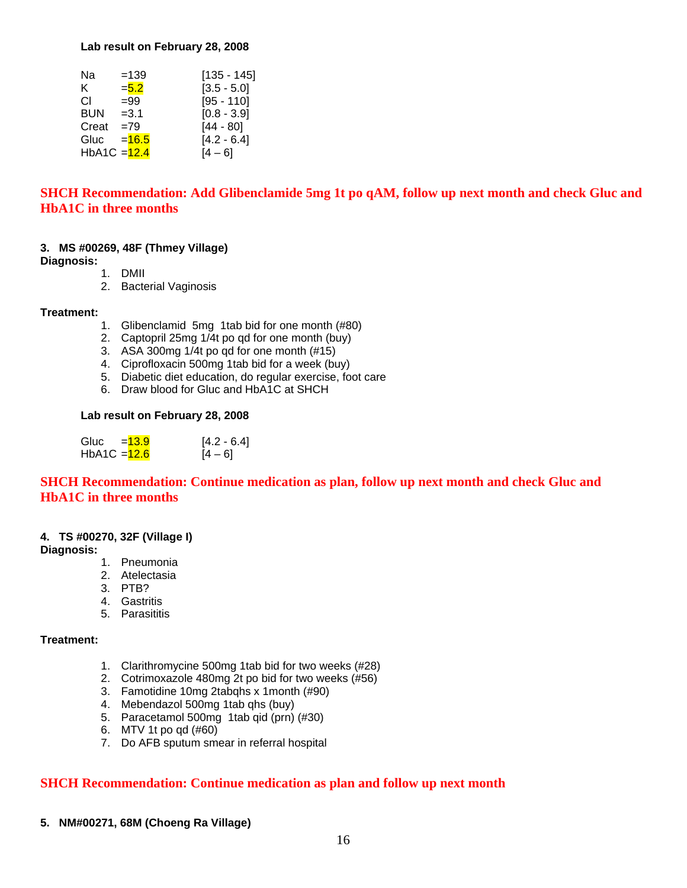#### **Lab result on February 28, 2008**

| Na             | $=139$   | $[135 - 145]$ |
|----------------|----------|---------------|
| K.             | $= 5.2$  | $[3.5 - 5.0]$ |
| CI.            | $= 99$   | $[95 - 110]$  |
| BUN            | $=3.1$   | $[0.8 - 3.9]$ |
| Creat          | $=79$    | $[44 - 80]$   |
| Gluc           | $= 16.5$ | $[4.2 - 6.4]$ |
| HbA1C $=$ 12.4 |          | [4 – 6]       |

#### **SHCH Recommendation: Add Glibenclamide 5mg 1t po qAM, follow up next month and check Gluc and HbA1C in three months**

#### **3. MS #00269, 48F (Thmey Village)**

#### **Diagnosis:**

- 1. DMII
- 2. Bacterial Vaginosis

#### **Treatment:**

- 1. Glibenclamid 5mg 1tab bid for one month (#80)
- 2. Captopril 25mg 1/4t po qd for one month (buy)
- 3. ASA 300mg 1/4t po qd for one month (#15)
- 4. Ciprofloxacin 500mg 1tab bid for a week (buy)
- 5. Diabetic diet education, do regular exercise, foot care
- 6. Draw blood for Gluc and HbA1C at SHCH

#### **Lab result on February 28, 2008**

| Gluc<br>$= 13.9$ | $[4.2 - 6.4]$ |
|------------------|---------------|
| HbA1C = $12.6$   | $[4 - 6]$     |

#### **SHCH Recommendation: Continue medication as plan, follow up next month and check Gluc and HbA1C in three months**

#### **4. TS #00270, 32F (Village I)**

#### **Diagnosis:**

- 1. Pneumonia
- 2. Atelectasia
- 3. PTB?
- 4. Gastritis
- 5. Parasititis

#### **Treatment:**

- 1. Clarithromycine 500mg 1tab bid for two weeks (#28)
- 2. Cotrimoxazole 480mg 2t po bid for two weeks (#56)
- 3. Famotidine 10mg 2tabqhs x 1month (#90)
- 4. Mebendazol 500mg 1tab qhs (buy)
- 5. Paracetamol 500mg 1tab qid (prn) (#30)
- 6. MTV 1t po qd (#60)
- 7. Do AFB sputum smear in referral hospital

#### **SHCH Recommendation: Continue medication as plan and follow up next month**

**5. NM#00271, 68M (Choeng Ra Village)**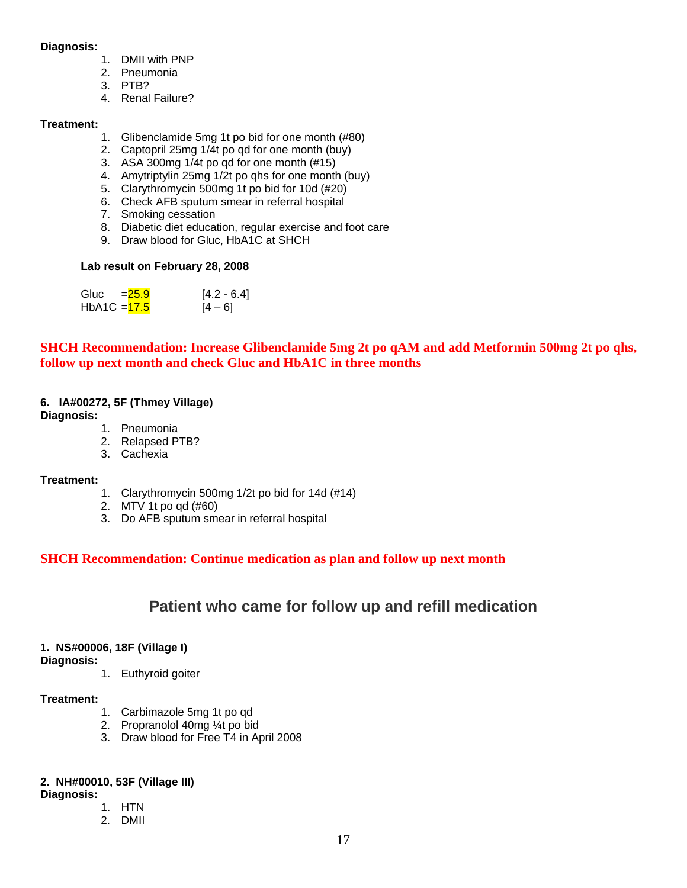#### **Diagnosis:**

- 1. DMII with PNP
- 2. Pneumonia
- 3. PTB?
- 4. Renal Failure?

#### **Treatment:**

- 1. Glibenclamide 5mg 1t po bid for one month (#80)
- 2. Captopril 25mg 1/4t po qd for one month (buy)
- 3. ASA 300mg 1/4t po qd for one month (#15)
- 4. Amytriptylin 25mg 1/2t po qhs for one month (buy)
- 5. Clarythromycin 500mg 1t po bid for 10d (#20)
- 6. Check AFB sputum smear in referral hospital
- 7. Smoking cessation
- 8. Diabetic diet education, regular exercise and foot care
- 9. Draw blood for Gluc, HbA1C at SHCH

#### **Lab result on February 28, 2008**

| Gluc         | $= 25.9$ | $[4.2 - 6.4]$ |
|--------------|----------|---------------|
| HbA1C = 17.5 |          | $[4 - 6]$     |

### **SHCH Recommendation: Increase Glibenclamide 5mg 2t po qAM and add Metformin 500mg 2t po qhs, follow up next month and check Gluc and HbA1C in three months**

#### **6. IA#00272, 5F (Thmey Village)**

**Diagnosis:**

- 1. Pneumonia
- 2. Relapsed PTB?
- 3. Cachexia

#### **Treatment:**

- 1. Clarythromycin 500mg 1/2t po bid for 14d (#14)
- 2. MTV 1t po qd (#60)
- 3. Do AFB sputum smear in referral hospital

### **SHCH Recommendation: Continue medication as plan and follow up next month**

### **Patient who came for follow up and refill medication**

#### **1. NS#00006, 18F (Village I)**

**Diagnosis:** 

1. Euthyroid goiter

#### **Treatment:**

- 1. Carbimazole 5mg 1t po qd
- 2. Propranolol 40mg ¼t po bid
- 3. Draw blood for Free T4 in April 2008

#### **2. NH#00010, 53F (Village III)**

**Diagnosis:** 

- 1. HTN
- 2. DMII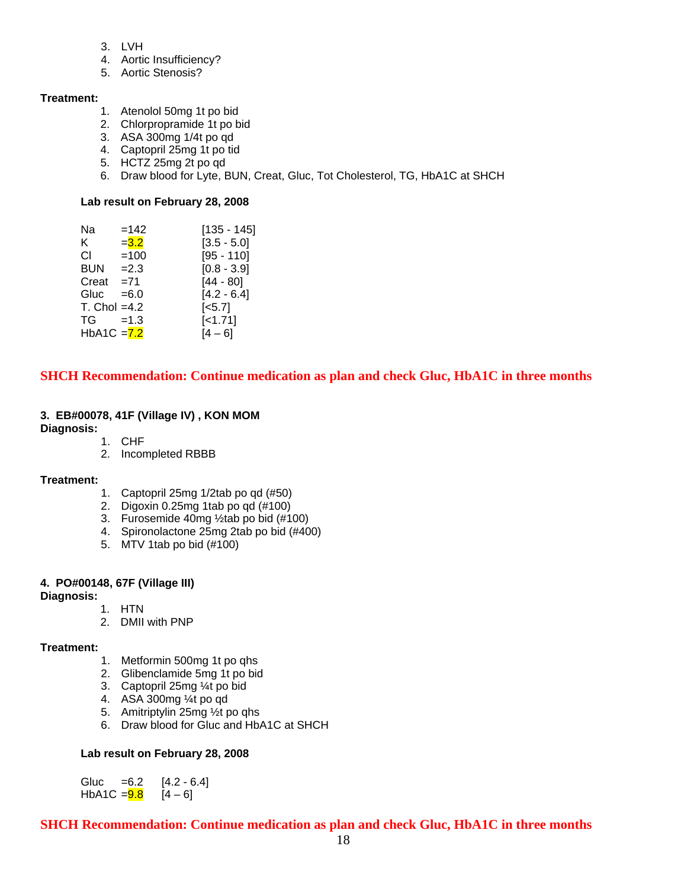- 3. LVH
- 4. Aortic Insufficiency?
- 5. Aortic Stenosis?

#### **Treatment:**

- 1. Atenolol 50mg 1t po bid
- 2. Chlorpropramide 1t po bid
- 3. ASA 300mg 1/4t po qd
- 4. Captopril 25mg 1t po tid
- 5. HCTZ 25mg 2t po qd
- 6. Draw blood for Lyte, BUN, Creat, Gluc, Tot Cholesterol, TG, HbA1C at SHCH

#### **Lab result on February 28, 2008**

| Nа             | $=142$  | $[135 - 145]$         |
|----------------|---------|-----------------------|
| K.             | $= 3.2$ | $[3.5 - 5.0]$         |
| CI.            | $=100$  | $[95 - 110]$          |
| <b>BUN</b>     | $=2.3$  | $[0.8 - 3.9]$         |
| Creat          | $= 71$  | $[44 - 80]$           |
| Gluc           | $= 6.0$ | $[4.2 - 6.4]$         |
| $T.$ Chol =4.2 |         | $\left[ <5.7 \right]$ |
| TG             | $=1.3$  | $[-1.71]$             |
| $HbA1C = 7.2$  |         | $[4 - 6]$             |
|                |         |                       |

#### **SHCH Recommendation: Continue medication as plan and check Gluc, HbA1C in three months**

#### **3. EB#00078, 41F (Village IV) , KON MOM**

**Diagnosis:** 

- 1. CHF
- 2. Incompleted RBBB

#### **Treatment:**

- 1. Captopril 25mg 1/2tab po qd (#50)
- 2. Digoxin 0.25mg 1tab po qd (#100)
- 3. Furosemide 40mg ½tab po bid (#100)
- 4. Spironolactone 25mg 2tab po bid (#400)
- 5. MTV 1tab po bid (#100)

#### **4. PO#00148, 67F (Village III)**

**Diagnosis:** 

- 1. HTN
- 2. DMII with PNP

#### **Treatment:**

- 1. Metformin 500mg 1t po qhs
- 2. Glibenclamide 5mg 1t po bid
- 3. Captopril 25mg ¼t po bid
- 4. ASA 300mg ¼t po qd
- 5. Amitriptylin 25mg ½t po qhs
- 6. Draw blood for Gluc and HbA1C at SHCH

#### **Lab result on February 28, 2008**

Gluc  $=6.2$  [4.2 - 6.4] HbA1C =  $\frac{9.8}{9.6}$  [4 – 6]

**SHCH Recommendation: Continue medication as plan and check Gluc, HbA1C in three months**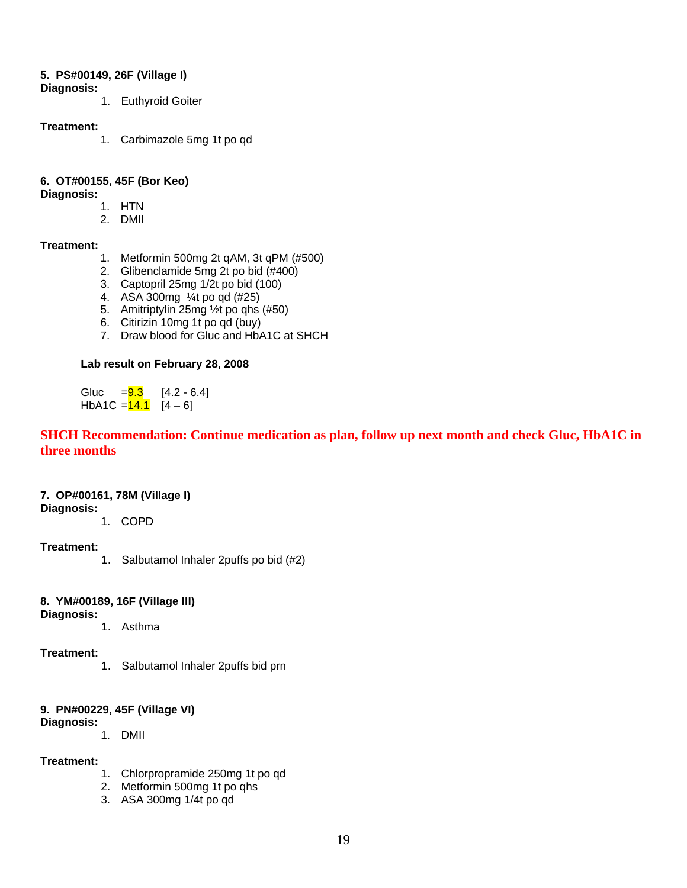#### **5. PS#00149, 26F (Village I)**

- **Diagnosis:** 
	- 1. Euthyroid Goiter

#### **Treatment:**

1. Carbimazole 5mg 1t po qd

#### **6. OT#00155, 45F (Bor Keo)**

#### **Diagnosis:**

- 1. HTN
- 2. DMII

#### **Treatment:**

- 1. Metformin 500mg 2t qAM, 3t qPM (#500)
- 2. Glibenclamide 5mg 2t po bid (#400)
- 3. Captopril 25mg 1/2t po bid (100)
- 4. ASA 300mg ¼t po qd (#25)
- 5. Amitriptylin 25mg ½t po qhs (#50)
- 6. Citirizin 10mg 1t po qd (buy)
- 7. Draw blood for Gluc and HbA1C at SHCH

#### **Lab result on February 28, 2008**

Gluc  $=$   $\frac{9.3}{14.2}$  - 6.4] HbA1C  $=$   $\frac{14.1}{14}$  [4 – 6]

#### **SHCH Recommendation: Continue medication as plan, follow up next month and check Gluc, HbA1C in three months**

#### **7. OP#00161, 78M (Village I)**

#### **Diagnosis:**

1. COPD

#### **Treatment:**

1. Salbutamol Inhaler 2puffs po bid (#2)

#### **8. YM#00189, 16F (Village III)**

#### **Diagnosis:**

1. Asthma

#### **Treatment:**

1. Salbutamol Inhaler 2puffs bid prn

#### **9. PN#00229, 45F (Village VI)**

#### **Diagnosis:**

1. DMII

#### **Treatment:**

- 1. Chlorpropramide 250mg 1t po qd
- 2. Metformin 500mg 1t po qhs
- 3. ASA 300mg 1/4t po qd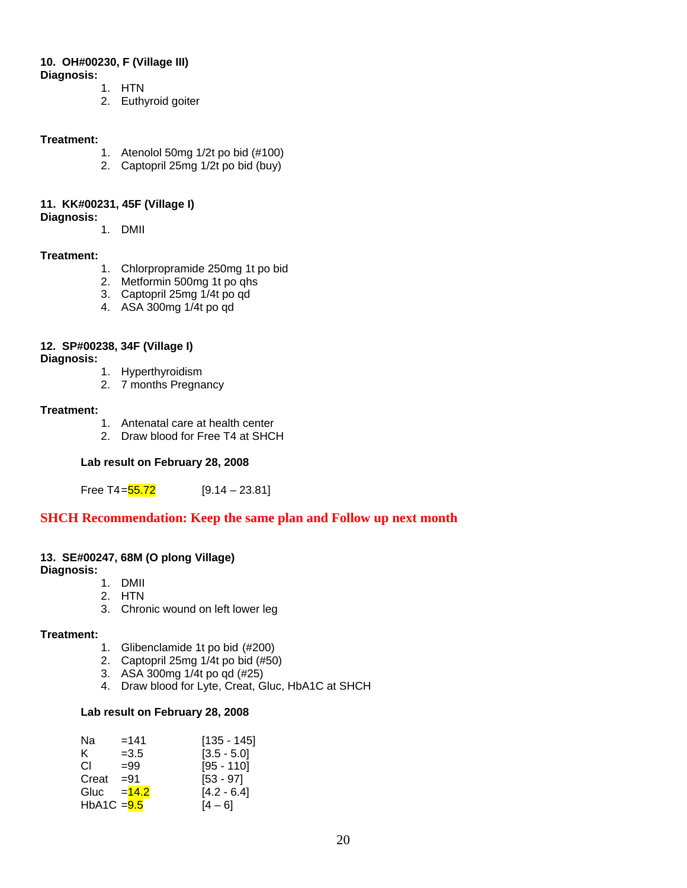#### **10. OH#00230, F (Village III) Diagnosis:**

- 1. HTN
	- 2. Euthyroid goiter

#### **Treatment:**

- 1. Atenolol 50mg 1/2t po bid (#100)
- 2. Captopril 25mg 1/2t po bid (buy)

#### **11. KK#00231, 45F (Village I)**

- **Diagnosis:**
- 1. DMII

#### **Treatment:**

- 1. Chlorpropramide 250mg 1t po bid
- 2. Metformin 500mg 1t po qhs
- 3. Captopril 25mg 1/4t po qd
- 4. ASA 300mg 1/4t po qd

#### **12. SP#00238, 34F (Village I)**

#### **Diagnosis:**

- 1. Hyperthyroidism
- 2. 7 months Pregnancy

#### **Treatment:**

- 1. Antenatal care at health center
- 2. Draw blood for Free T4 at SHCH

#### **Lab result on February 28, 2008**

Free T4= $\frac{55.72}{9.14 - 23.81}$ 

#### **SHCH Recommendation: Keep the same plan and Follow up next month**

#### **13. SE#00247, 68M (O plong Village)**

**Diagnosis:**

- 1. DMII
- 2. HTN
- 3. Chronic wound on left lower leg

#### **Treatment:**

- 1. Glibenclamide 1t po bid (#200)
- 2. Captopril 25mg 1/4t po bid (#50)
- 3. ASA 300mg 1/4t po qd (#25)
- 4. Draw blood for Lyte, Creat, Gluc, HbA1C at SHCH

#### **Lab result on February 28, 2008**

| Na           | $=141$  | $[135 - 145]$ |
|--------------|---------|---------------|
| K.           | $=3.5$  | $[3.5 - 5.0]$ |
| CL.          | $=99$   | $[95 - 110]$  |
| Creat        | $= 91$  | $[53 - 97]$   |
| Gluc         | $=14.2$ | $[4.2 - 6.4]$ |
| HbA1C $=9.5$ |         | $[4 - 6]$     |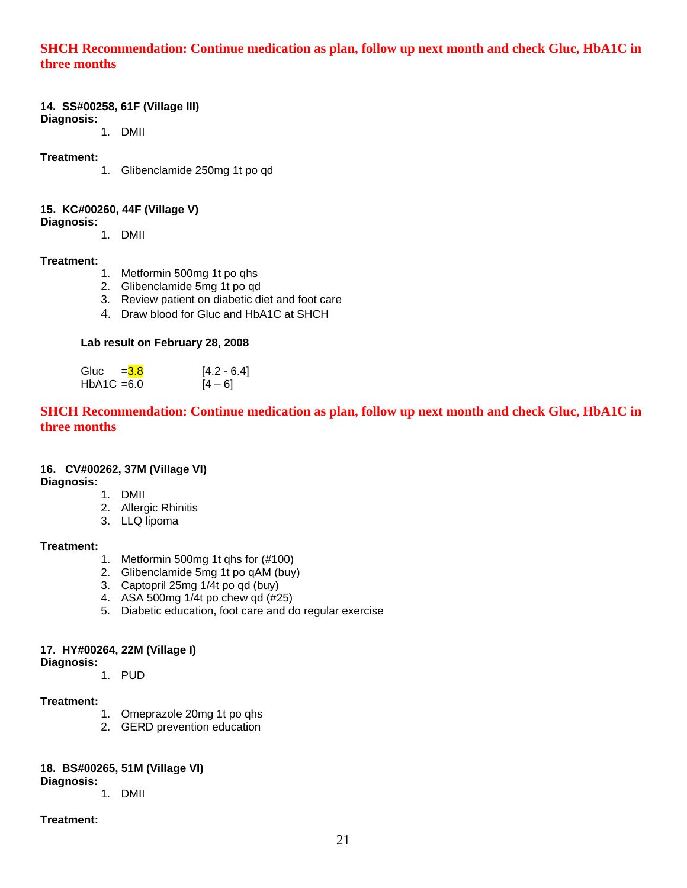#### **SHCH Recommendation: Continue medication as plan, follow up next month and check Gluc, HbA1C in three months**

#### **14. SS#00258, 61F (Village III)**

**Diagnosis:** 1. DMII

#### **Treatment:**

1. Glibenclamide 250mg 1t po qd

#### **15. KC#00260, 44F (Village V)**

**Diagnosis:**

1. DMII

#### **Treatment:**

- 1. Metformin 500mg 1t po qhs
- 2. Glibenclamide 5mg 1t po qd
- 3. Review patient on diabetic diet and foot care
- 4. Draw blood for Gluc and HbA1C at SHCH

#### **Lab result on February 28, 2008**

Gluc =  $\frac{3.8}{10.6}$  [4.2 - 6.4]<br>HbA1C = 6.0 [4 – 6]  $HbA1C = 6.0$ 

**SHCH Recommendation: Continue medication as plan, follow up next month and check Gluc, HbA1C in three months** 

#### **16. CV#00262, 37M (Village VI)**

**Diagnosis:**

- 1. DMII
- 2. Allergic Rhinitis
- 3. LLQ lipoma

#### **Treatment:**

- 1. Metformin 500mg 1t qhs for (#100)
- 2. Glibenclamide 5mg 1t po qAM (buy)
- 3. Captopril 25mg 1/4t po qd (buy)
- 4. ASA 500mg  $1/4t$  po chew gd  $(\#25)$
- 5. Diabetic education, foot care and do regular exercise

#### **17. HY#00264, 22M (Village I)**

**Diagnosis:**

1. PUD

#### **Treatment:**

- 1. Omeprazole 20mg 1t po qhs
- 2. GERD prevention education

### **18. BS#00265, 51M (Village VI)**

**Diagnosis:**

1. DMII

#### **Treatment:**